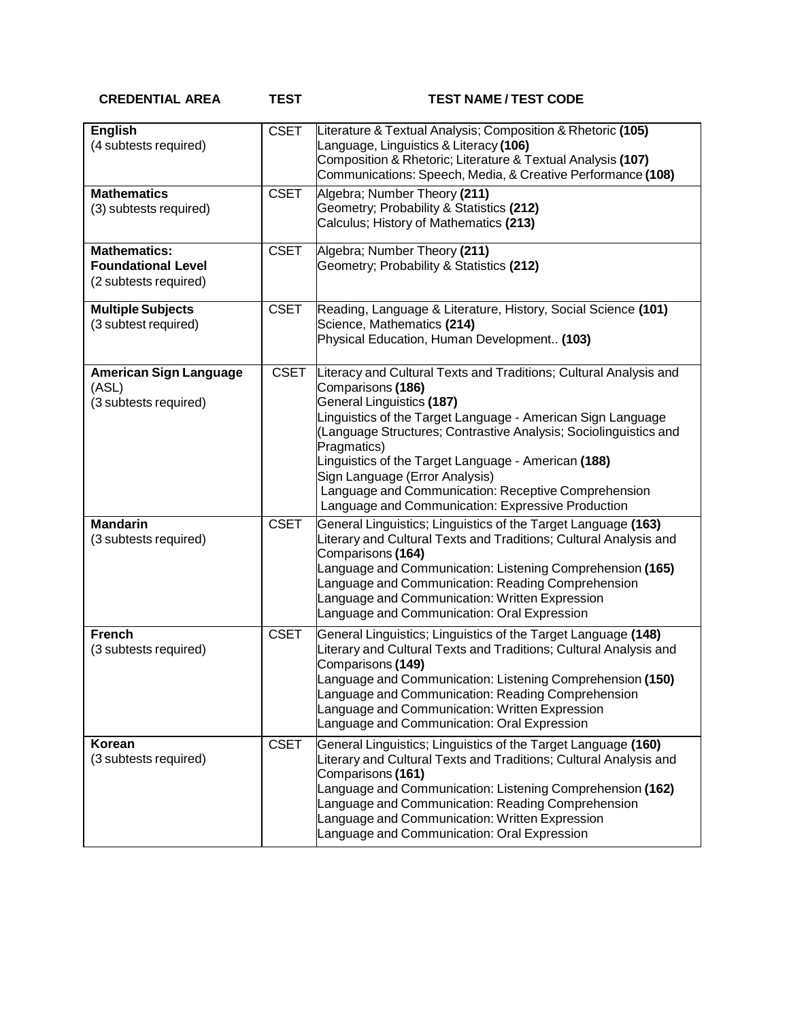**CREDENTIAL AREA TEST TEST NAME / TEST CODE**

| <b>English</b><br>(4 subtests required)                                   | <b>CSET</b> | Literature & Textual Analysis; Composition & Rhetoric (105)<br>anguage, Linguistics & Literacy (106)<br>Composition & Rhetoric; Literature & Textual Analysis (107)<br>Communications: Speech, Media, & Creative Performance (108)                                                                                                                                                                                                                                      |
|---------------------------------------------------------------------------|-------------|-------------------------------------------------------------------------------------------------------------------------------------------------------------------------------------------------------------------------------------------------------------------------------------------------------------------------------------------------------------------------------------------------------------------------------------------------------------------------|
| <b>Mathematics</b><br>(3) subtests required)                              | <b>CSET</b> | Algebra; Number Theory (211)<br>Geometry; Probability & Statistics (212)<br>Calculus; History of Mathematics (213)                                                                                                                                                                                                                                                                                                                                                      |
| <b>Mathematics:</b><br><b>Foundational Level</b><br>(2 subtests required) | <b>CSET</b> | Algebra; Number Theory (211)<br>Geometry; Probability & Statistics (212)                                                                                                                                                                                                                                                                                                                                                                                                |
| <b>Multiple Subjects</b><br>(3 subtest required)                          | <b>CSET</b> | Reading, Language & Literature, History, Social Science (101)<br>Science, Mathematics (214)<br>Physical Education, Human Development (103)                                                                                                                                                                                                                                                                                                                              |
| <b>American Sign Language</b><br>(ASL)<br>(3 subtests required)           | <b>CSET</b> | Literacy and Cultural Texts and Traditions; Cultural Analysis and<br>Comparisons (186)<br>General Linguistics (187)<br>inguistics of the Target Language - American Sign Language<br>Language Structures; Contrastive Analysis; Sociolinguistics and<br>Pragmatics)<br>inguistics of the Target Language - American (188)<br>Sign Language (Error Analysis)<br>Language and Communication: Receptive Comprehension<br>Language and Communication: Expressive Production |
| <b>Mandarin</b><br>(3 subtests required)                                  | <b>CSET</b> | General Linguistics; Linguistics of the Target Language (163)<br>Literary and Cultural Texts and Traditions; Cultural Analysis and<br>Comparisons (164)<br>anguage and Communication: Listening Comprehension (165)<br>anguage and Communication: Reading Comprehension<br>anguage and Communication: Written Expression<br>Language and Communication: Oral Expression                                                                                                 |
| <b>French</b><br>(3 subtests required)                                    | <b>CSET</b> | General Linguistics; Linguistics of the Target Language (148)<br>Literary and Cultural Texts and Traditions; Cultural Analysis and<br>Comparisons (149)<br>Language and Communication: Listening Comprehension (150)<br>Language and Communication: Reading Comprehension<br>anguage and Communication: Written Expression<br>Language and Communication: Oral Expression                                                                                               |
| Korean<br>(3 subtests required)                                           | <b>CSET</b> | General Linguistics; Linguistics of the Target Language (160)<br>Literary and Cultural Texts and Traditions; Cultural Analysis and<br>Comparisons (161)<br>Language and Communication: Listening Comprehension (162)<br>anguage and Communication: Reading Comprehension<br>anguage and Communication: Written Expression<br>anguage and Communication: Oral Expression                                                                                                 |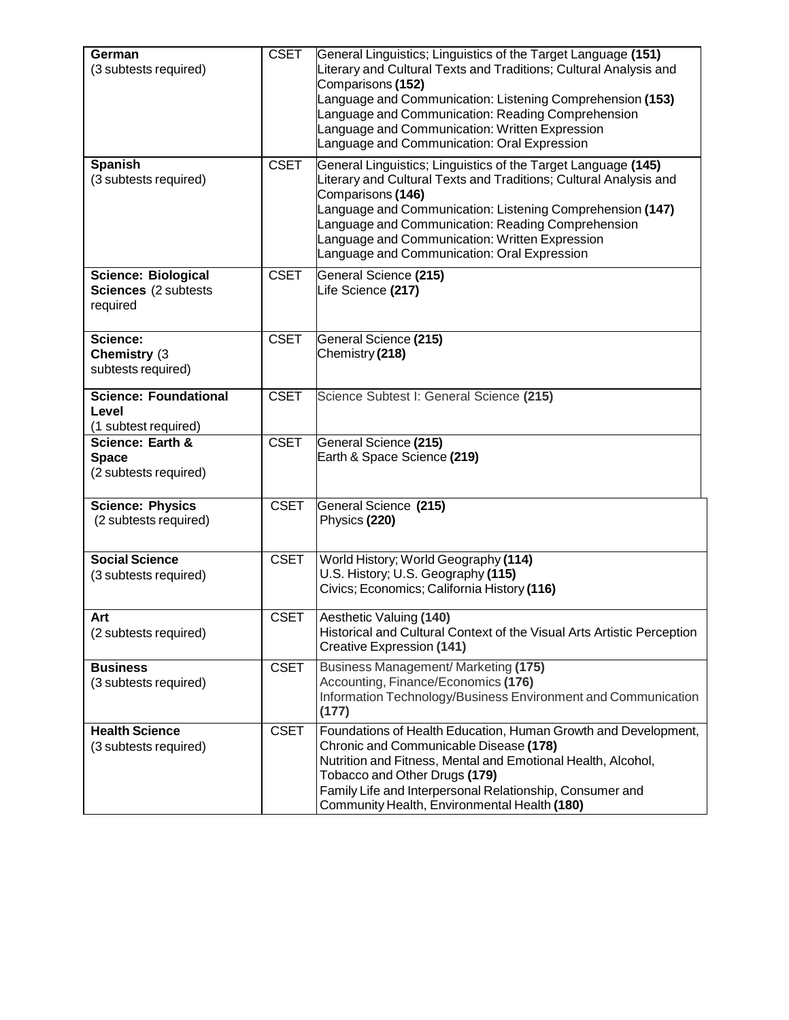| German<br>(3 subtests required)                                | <b>CSET</b> | General Linguistics; Linguistics of the Target Language (151)<br>Literary and Cultural Texts and Traditions; Cultural Analysis and<br>Comparisons (152)<br>Language and Communication: Listening Comprehension (153)<br>anguage and Communication: Reading Comprehension<br>anguage and Communication: Written Expression<br>Language and Communication: Oral Expression   |
|----------------------------------------------------------------|-------------|----------------------------------------------------------------------------------------------------------------------------------------------------------------------------------------------------------------------------------------------------------------------------------------------------------------------------------------------------------------------------|
| <b>Spanish</b><br>(3 subtests required)                        | <b>CSET</b> | General Linguistics; Linguistics of the Target Language (145)<br>Literary and Cultural Texts and Traditions; Cultural Analysis and<br>Comparisons (146)<br>Language and Communication: Listening Comprehension (147)<br>Language and Communication: Reading Comprehension<br>Language and Communication: Written Expression<br>Language and Communication: Oral Expression |
| <b>Science: Biological</b><br>Sciences (2 subtests<br>required | <b>CSET</b> | General Science (215)<br>Life Science (217)                                                                                                                                                                                                                                                                                                                                |
| Science:<br>Chemistry (3<br>subtests required)                 | <b>CSET</b> | General Science (215)<br>Chemistry (218)                                                                                                                                                                                                                                                                                                                                   |
| <b>Science: Foundational</b><br>Level<br>(1 subtest required)  | <b>CSET</b> | Science Subtest I: General Science (215)                                                                                                                                                                                                                                                                                                                                   |
| Science: Earth &<br><b>Space</b><br>(2 subtests required)      | <b>CSET</b> | General Science (215)<br>Earth & Space Science (219)                                                                                                                                                                                                                                                                                                                       |
| <b>Science: Physics</b><br>(2 subtests required)               | <b>CSET</b> | General Science (215)<br>Physics (220)                                                                                                                                                                                                                                                                                                                                     |
| <b>Social Science</b><br>(3 subtests required)                 | <b>CSET</b> | World History; World Geography (114)<br>U.S. History; U.S. Geography (115)<br>Civics; Economics; California History (116)                                                                                                                                                                                                                                                  |
| Art<br>(2 subtests required)                                   | <b>CSET</b> | Aesthetic Valuing (140)<br>Historical and Cultural Context of the Visual Arts Artistic Perception<br><b>Creative Expression (141)</b>                                                                                                                                                                                                                                      |
| <b>Business</b><br>(3 subtests required)                       | <b>CSET</b> | Business Management/ Marketing (175)<br>Accounting, Finance/Economics (176)<br>Information Technology/Business Environment and Communication<br>(177)                                                                                                                                                                                                                      |
| <b>Health Science</b><br>(3 subtests required)                 | <b>CSET</b> | Foundations of Health Education, Human Growth and Development,<br>Chronic and Communicable Disease (178)<br>Nutrition and Fitness, Mental and Emotional Health, Alcohol,<br>Tobacco and Other Drugs (179)<br>Family Life and Interpersonal Relationship, Consumer and<br>Community Health, Environmental Health (180)                                                      |